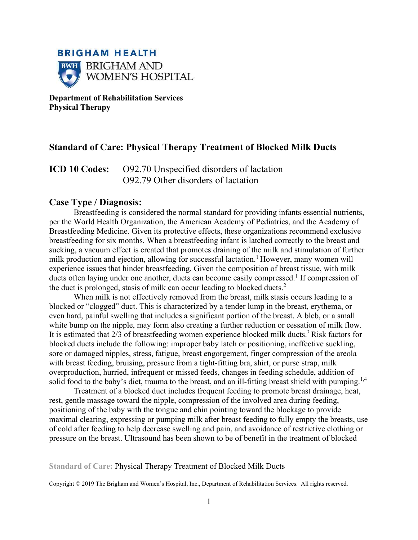

**Department of Rehabilitation Services Physical Therapy** 

# **Standard of Care: Physical Therapy Treatment of Blocked Milk Ducts**

**ICD 10 Codes:** O92.70 Unspecified disorders of lactation O92.79 Other disorders of lactation

## **Case Type / Diagnosis:**

Breastfeeding is considered the normal standard for providing infants essential nutrients, per the World Health Organization, the American Academy of Pediatrics, and the Academy of Breastfeeding Medicine. Given its protective effects, these organizations recommend exclusive breastfeeding for six months. When a breastfeeding infant is latched correctly to the breast and sucking, a vacuum effect is created that promotes draining of the milk and stimulation of further milk production and ejection, allowing for successful lactation.<sup>1</sup> However, many women will experience issues that hinder breastfeeding. Given the composition of breast tissue, with milk ducts often laying under one another, ducts can become easily compressed.<sup>1</sup> If compression of the duct is prolonged, stasis of milk can occur leading to blocked ducts.<sup>2</sup>

 When milk is not effectively removed from the breast, milk stasis occurs leading to a blocked or "clogged" duct. This is characterized by a tender lump in the breast, erythema, or even hard, painful swelling that includes a significant portion of the breast. A bleb, or a small white bump on the nipple, may form also creating a further reduction or cessation of milk flow. It is estimated that  $2/3$  of breastfeeding women experience blocked milk ducts.<sup>3</sup> Risk factors for blocked ducts include the following: improper baby latch or positioning, ineffective suckling, sore or damaged nipples, stress, fatigue, breast engorgement, finger compression of the areola with breast feeding, bruising, pressure from a tight-fitting bra, shirt, or purse strap, milk overproduction, hurried, infrequent or missed feeds, changes in feeding schedule, addition of solid food to the baby's diet, trauma to the breast, and an ill-fitting breast shield with pumping.<sup>1,4</sup>

 Treatment of a blocked duct includes frequent feeding to promote breast drainage, heat, rest, gentle massage toward the nipple, compression of the involved area during feeding, positioning of the baby with the tongue and chin pointing toward the blockage to provide maximal clearing, expressing or pumping milk after breast feeding to fully empty the breasts, use of cold after feeding to help decrease swelling and pain, and avoidance of restrictive clothing or pressure on the breast. Ultrasound has been shown to be of benefit in the treatment of blocked

#### **Standard of Care:** Physical Therapy Treatment of Blocked Milk Ducts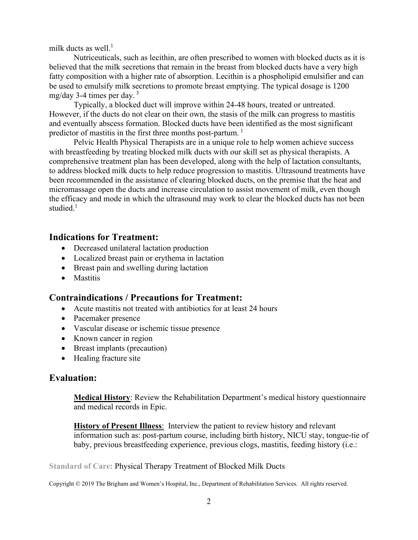milk ducts as well. $<sup>1</sup>$ </sup>

 Nutriceuticals, such as lecithin, are often prescribed to women with blocked ducts as it is believed that the milk secretions that remain in the breast from blocked ducts have a very high fatty composition with a higher rate of absorption. Lecithin is a phospholipid emulsifier and can be used to emulsify milk secretions to promote breast emptying. The typical dosage is 1200 mg/day 3-4 times per day.  $3^3$ 

 Typically, a blocked duct will improve within 24-48 hours, treated or untreated. However, if the ducts do not clear on their own, the stasis of the milk can progress to mastitis and eventually abscess formation. Blocked ducts have been identified as the most significant predictor of mastitis in the first three months post-partum.<sup>1</sup>

Pelvic Health Physical Therapists are in a unique role to help women achieve success with breastfeeding by treating blocked milk ducts with our skill set as physical therapists. A comprehensive treatment plan has been developed, along with the help of lactation consultants, to address blocked milk ducts to help reduce progression to mastitis. Ultrasound treatments have been recommended in the assistance of clearing blocked ducts, on the premise that the heat and micromassage open the ducts and increase circulation to assist movement of milk, even though the efficacy and mode in which the ultrasound may work to clear the blocked ducts has not been studied.<sup>1</sup>

# **Indications for Treatment:**

- Decreased unilateral lactation production
- Localized breast pain or erythema in lactation
- Breast pain and swelling during lactation
- Mastitis

# **Contraindications / Precautions for Treatment:**

- Acute mastitis not treated with antibiotics for at least 24 hours
- Pacemaker presence
- Vascular disease or ischemic tissue presence
- Known cancer in region
- Breast implants (precaution)
- Healing fracture site

# **Evaluation:**

**Medical History**: Review the Rehabilitation Department's medical history questionnaire and medical records in Epic.

**History of Present Illness**: Interview the patient to review history and relevant information such as: post-partum course, including birth history, NICU stay, tongue-tie of baby, previous breastfeeding experience, previous clogs, mastitis, feeding history (i.e.:

**Standard of Care:** Physical Therapy Treatment of Blocked Milk Ducts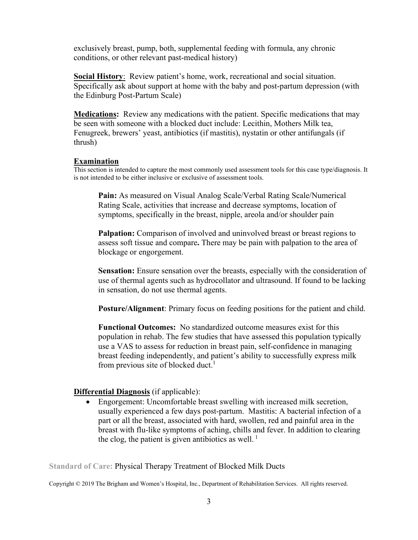exclusively breast, pump, both, supplemental feeding with formula, any chronic conditions, or other relevant past-medical history)

**Social History**: Review patient's home, work, recreational and social situation. Specifically ask about support at home with the baby and post-partum depression (with the Edinburg Post-Partum Scale)

**Medications:** Review any medications with the patient. Specific medications that may be seen with someone with a blocked duct include: Lecithin, Mothers Milk tea, Fenugreek, brewers' yeast, antibiotics (if mastitis), nystatin or other antifungals (if thrush)

#### **Examination**

This section is intended to capture the most commonly used assessment tools for this case type/diagnosis. It is not intended to be either inclusive or exclusive of assessment tools.

**Pain:** As measured on Visual Analog Scale/Verbal Rating Scale/Numerical Rating Scale, activities that increase and decrease symptoms, location of symptoms, specifically in the breast, nipple, areola and/or shoulder pain

**Palpation:** Comparison of involved and uninvolved breast or breast regions to assess soft tissue and compare**.** There may be pain with palpation to the area of blockage or engorgement.

**Sensation:** Ensure sensation over the breasts, especially with the consideration of use of thermal agents such as hydrocollator and ultrasound. If found to be lacking in sensation, do not use thermal agents.

**Posture/Alignment**: Primary focus on feeding positions for the patient and child.

**Functional Outcomes:** No standardized outcome measures exist for this population in rehab. The few studies that have assessed this population typically use a VAS to assess for reduction in breast pain, self-confidence in managing breast feeding independently, and patient's ability to successfully express milk from previous site of blocked duct. $<sup>1</sup>$ </sup>

### **Differential Diagnosis** (if applicable):

• Engorgement: Uncomfortable breast swelling with increased milk secretion, usually experienced a few days post-partum. Mastitis: A bacterial infection of a part or all the breast, associated with hard, swollen, red and painful area in the breast with flu-like symptoms of aching, chills and fever. In addition to clearing the clog, the patient is given antibiotics as well.<sup>1</sup>

**Standard of Care:** Physical Therapy Treatment of Blocked Milk Ducts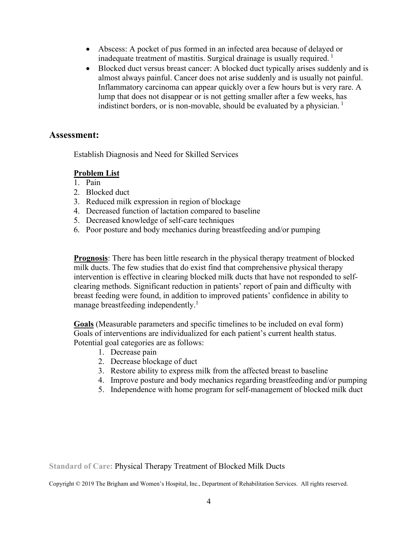- Abscess: A pocket of pus formed in an infected area because of delayed or inadequate treatment of mastitis. Surgical drainage is usually required.<sup>1</sup>
- Blocked duct versus breast cancer: A blocked duct typically arises suddenly and is almost always painful. Cancer does not arise suddenly and is usually not painful. Inflammatory carcinoma can appear quickly over a few hours but is very rare. A lump that does not disappear or is not getting smaller after a few weeks, has indistinct borders, or is non-movable, should be evaluated by a physician.<sup>1</sup>

## **Assessment:**

Establish Diagnosis and Need for Skilled Services

## **Problem List**

- 1. Pain
- 2. Blocked duct
- 3. Reduced milk expression in region of blockage
- 4. Decreased function of lactation compared to baseline
- 5. Decreased knowledge of self-care techniques
- 6. Poor posture and body mechanics during breastfeeding and/or pumping

**Prognosis**: There has been little research in the physical therapy treatment of blocked milk ducts. The few studies that do exist find that comprehensive physical therapy intervention is effective in clearing blocked milk ducts that have not responded to selfclearing methods. Significant reduction in patients' report of pain and difficulty with breast feeding were found, in addition to improved patients' confidence in ability to manage breastfeeding independently.<sup>1</sup>

**Goals** (Measurable parameters and specific timelines to be included on eval form) Goals of interventions are individualized for each patient's current health status. Potential goal categories are as follows:

- 1. Decrease pain
- 2. Decrease blockage of duct
- 3. Restore ability to express milk from the affected breast to baseline
- 4. Improve posture and body mechanics regarding breastfeeding and/or pumping
- 5. Independence with home program for self-management of blocked milk duct

**Standard of Care:** Physical Therapy Treatment of Blocked Milk Ducts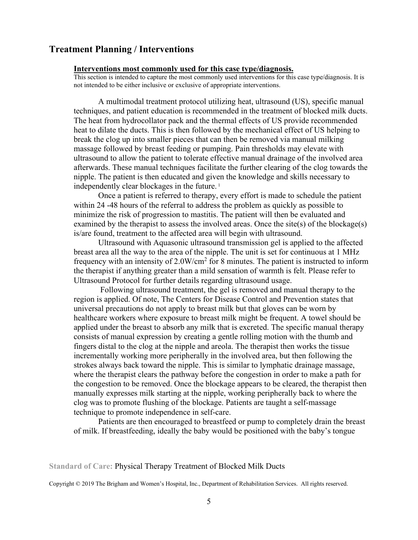## **Treatment Planning / Interventions**

#### **Interventions most commonly used for this case type/diagnosis.**

This section is intended to capture the most commonly used interventions for this case type/diagnosis. It is not intended to be either inclusive or exclusive of appropriate interventions.

A multimodal treatment protocol utilizing heat, ultrasound (US), specific manual techniques, and patient education is recommended in the treatment of blocked milk ducts. The heat from hydrocollator pack and the thermal effects of US provide recommended heat to dilate the ducts. This is then followed by the mechanical effect of US helping to break the clog up into smaller pieces that can then be removed via manual milking massage followed by breast feeding or pumping. Pain thresholds may elevate with ultrasound to allow the patient to tolerate effective manual drainage of the involved area afterwards. These manual techniques facilitate the further clearing of the clog towards the nipple. The patient is then educated and given the knowledge and skills necessary to independently clear blockages in the future.<sup>1</sup>

 Once a patient is referred to therapy, every effort is made to schedule the patient within 24 -48 hours of the referral to address the problem as quickly as possible to minimize the risk of progression to mastitis. The patient will then be evaluated and examined by the therapist to assess the involved areas. Once the site(s) of the blockage(s) is/are found, treatment to the affected area will begin with ultrasound.

 Ultrasound with Aquasonic ultrasound transmission gel is applied to the affected breast area all the way to the area of the nipple. The unit is set for continuous at 1 MHz frequency with an intensity of  $2.0W/cm<sup>2</sup>$  for 8 minutes. The patient is instructed to inform the therapist if anything greater than a mild sensation of warmth is felt. Please refer to Ultrasound Protocol for further details regarding ultrasound usage.

 Following ultrasound treatment, the gel is removed and manual therapy to the region is applied. Of note, The Centers for Disease Control and Prevention states that universal precautions do not apply to breast milk but that gloves can be worn by healthcare workers where exposure to breast milk might be frequent. A towel should be applied under the breast to absorb any milk that is excreted. The specific manual therapy consists of manual expression by creating a gentle rolling motion with the thumb and fingers distal to the clog at the nipple and areola. The therapist then works the tissue incrementally working more peripherally in the involved area, but then following the strokes always back toward the nipple. This is similar to lymphatic drainage massage, where the therapist clears the pathway before the congestion in order to make a path for the congestion to be removed. Once the blockage appears to be cleared, the therapist then manually expresses milk starting at the nipple, working peripherally back to where the clog was to promote flushing of the blockage. Patients are taught a self-massage technique to promote independence in self-care.

Patients are then encouraged to breastfeed or pump to completely drain the breast of milk. If breastfeeding, ideally the baby would be positioned with the baby's tongue

#### **Standard of Care:** Physical Therapy Treatment of Blocked Milk Ducts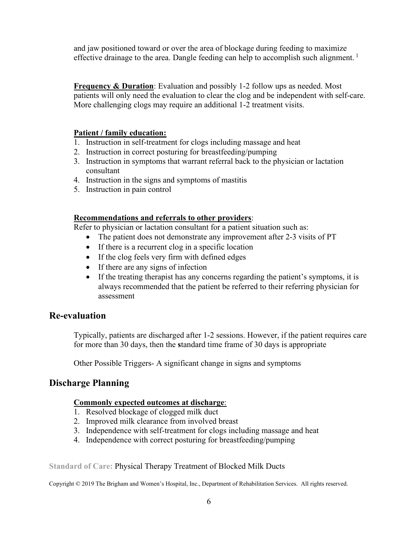and jaw positioned toward or over the area of blockage during feeding to maximize effective drainage to the area. Dangle feeding can help to accomplish such alignment.<sup>1</sup>

**Frequency & Duration**: Evaluation and possibly 1-2 follow ups as needed. Most patients will only need the evaluation to clear the clog and be independent with self-care. More challenging clogs may require an additional 1-2 treatment visits.

### **Patient / family education:**

- 1. Instruction in self-treatment for clogs including massage and heat
- 2. Instruction in correct posturing for breastfeeding/pumping
- 3. Instruction in symptoms that warrant referral back to the physician or lactation consultant
- 4. Instruction in the signs and symptoms of mastitis
- 5. Instruction in pain control

### **Recommendations and referrals to other providers**:

Refer to physician or lactation consultant for a patient situation such as:

- The patient does not demonstrate any improvement after 2-3 visits of PT
- If there is a recurrent clog in a specific location
- If the clog feels very firm with defined edges
- If there are any signs of infection
- If the treating therapist has any concerns regarding the patient's symptoms, it is always recommended that the patient be referred to their referring physician for assessment

## **Re-evaluation**

Typically, patients are discharged after 1-2 sessions. However, if the patient requires care for more than 30 days, then the **s**tandard time frame of 30 days is appropriate

Other Possible Triggers- A significant change in signs and symptoms

# **Discharge Planning**

### **Commonly expected outcomes at discharge**:

- 1. Resolved blockage of clogged milk duct
- 2. Improved milk clearance from involved breast
- 3. Independence with self-treatment for clogs including massage and heat
- 4. Independence with correct posturing for breastfeeding/pumping

### **Standard of Care:** Physical Therapy Treatment of Blocked Milk Ducts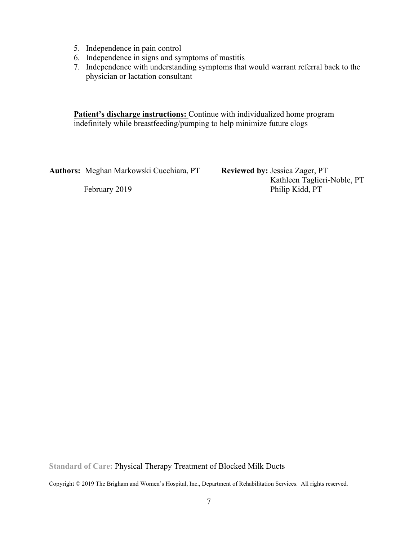- 5. Independence in pain control
- 6. Independence in signs and symptoms of mastitis
- 7. Independence with understanding symptoms that would warrant referral back to the physician or lactation consultant

**Patient's discharge instructions:** Continue with individualized home program indefinitely while breastfeeding/pumping to help minimize future clogs

**Authors:** Meghan Markowski Cucchiara, PT **Reviewed by:** Jessica Zager, PT

 Kathleen Taglieri-Noble, PT February 2019 Philip Kidd, PT

**Standard of Care:** Physical Therapy Treatment of Blocked Milk Ducts